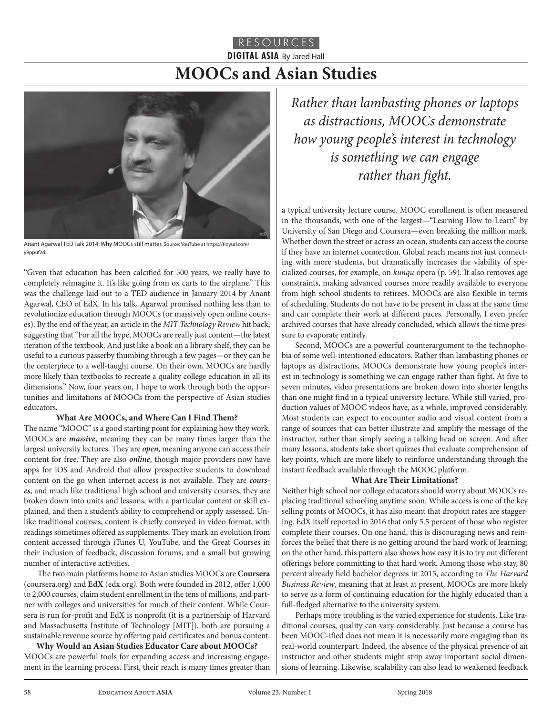# RESOURCES **DIGITAL ASIA** By Jared Hall **MOOCs and Asian Studies**



Anant Agarwal TED Talk 2014: Why MOOCs still matter. Source: YouTube at https://tinyurl.com/ y9ppuf2d.

"Given that education has been calcified for 500 years, we really have to completely reimagine it. It's like going from ox carts to the airplane." This was the challenge laid out to a TED audience in January 2014 by Anant Agarwal, CEO of EdX. In his talk, Agarwal promised nothing less than to revolutionize education through MOOCs (or massively open online courses). By the end of the year, an article in the *MIT Technology Review* hit back, suggesting that "For all the hype, MOOCs are really just content—the latest iteration of the textbook. And just like a book on a library shelf, they can be useful to a curious passerby thumbing through a few pages—or they can be the centerpiece to a well-taught course. On their own, MOOCs are hardly more likely than textbooks to recreate a quality college education in all its dimensions." Now, four years on, I hope to work through both the opportunities and limitations of MOOCs from the perspective of Asian studies educators.

## **What Are MOOCs, and Where Can I Find Them?**

The name "MOOC" is a good starting point for explaining how they work. MOOCs are *massive*, meaning they can be many times larger than the largest university lectures. They are *open*, meaning anyone can access their content for free. They are also *online*, though major providers now have apps for iOS and Android that allow prospective students to download content on the go when internet access is not available. They are *courses*, and much like traditional high school and university courses, they are broken down into units and lessons, with a particular content or skill explained, and then a student's ability to comprehend or apply assessed. Unlike traditional courses, content is chiefly conveyed in video format, with readings sometimes offered as supplements. They mark an evolution from content accessed through iTunes U, YouTube, and the Great Courses in their inclusion of feedback, discussion forums, and a small but growing number of interactive activities.

The two main platforms home to Asian studies MOOCs are **Coursera** (coursera.org) and **EdX** (edx.org*)*. Both were founded in 2012, offer 1,000 to 2,000 courses, claim student enrollment in the tens of millions, and partner with colleges and universities for much of their content. While Coursera is run for-profit and EdX is nonprofit (it is a partnership of Harvard and Massachusetts Institute of Technology [MIT]), both are pursuing a sustainable revenue source by offering paid certificates and bonus content.

**Why Would an Asian Studies Educator Care about MOOCs?** MOOCs are powerful tools for expanding access and increasing engagement in the learning process. First, their reach is many times greater than *Rather than lambasting phones or laptops as distractions, MOOCs demonstrate how young people's interest in technology is something we can engage rather than fight.*

a typical university lecture course. MOOC enrollment is often measured in the thousands, with one of the largest—"Learning How to Learn" by University of San Diego and Coursera—even breaking the million mark. Whether down the street or across an ocean, students can access the course if they have an internet connection. Global reach means not just connecting with more students, but dramatically increases the viability of specialized courses, for example, on *kunqu* opera (p. 59). It also removes age constraints, making advanced courses more readily available to everyone from high school students to retirees. MOOCs are also flexible in terms of scheduling. Students do not have to be present in class at the same time and can complete their work at different paces. Personally, I even prefer archived courses that have already concluded, which allows the time pressure to evaporate entirely.

Second, MOOCs are a powerful counterargument to the technophobia of some well-intentioned educators. Rather than lambasting phones or laptops as distractions, MOOCs demonstrate how young people's interest in technology is something we can engage rather than fight. At five to seven minutes, video presentations are broken down into shorter lengths than one might find in a typical university lecture. While still varied, production values of MOOC videos have, as a whole, improved considerably. Most students can expect to encounter audio and visual content from a range of sources that can better illustrate and amplify the message of the instructor, rather than simply seeing a talking head on screen. And after many lessons, students take short quizzes that evaluate comprehension of key points, which are more likely to reinforce understanding through the instant feedback available through the MOOC platform.

## **What Are Their Limitations?**

Neither high school nor college educators should worry about MOOCs replacing traditional schooling anytime soon. While access is one of the key selling points of MOOCs, it has also meant that dropout rates are staggering. EdX itself reported in 2016 that only 5.5 percent of those who register complete their courses. On one hand, this is discouraging news and reinforces the belief that there is no getting around the hard work of learning; on the other hand, this pattern also shows how easy it is to try out different offerings before committing to that hard work. Among those who stay, 80 percent already held bachelor degrees in 2015, according to *The Harvard Business Review*, meaning that at least at present, MOOCs are more likely to serve as a form of continuing education for the highly educated than a full-fledged alternative to the university system.

Perhaps more troubling is the varied experience for students. Like traditional courses, quality can vary considerably. Just because a course has been MOOC-ified does not mean it is necessarily more engaging than its real-world counterpart. Indeed, the absence of the physical presence of an instructor and other students might strip away important social dimensions of learning. Likewise, scalability can also lead to weakened feedback